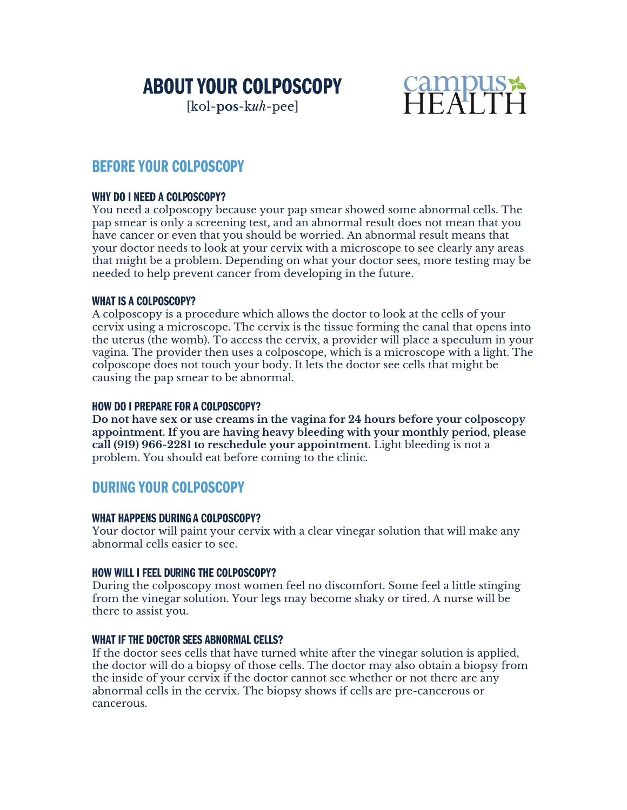# **ABOUT YOUR COLPOSCOPY**

[kol-**pos**-k*uh*-pee]



## **BEFORE YOUR COLPOSCOPY**

#### **WHY DO I NEED A COLPOSCOPY?**

You need a colposcopy because your pap smear showed some abnormal cells. The pap smear is only a screening test, and an abnormal result does not mean that you have cancer or even that you should be worried. An abnormal result means that your doctor needs to look at your cervix with a microscope to see clearly any areas that might be a problem. Depending on what your doctor sees, more testing may be needed to help prevent cancer from developing in the future.

#### **WHAT IS A COLPOSCOPY?**

A colposcopy is a procedure which allows the doctor to look at the cells of your cervix using a microscope. The cervix is the tissue forming the canal that opens into the uterus (the womb). To access the cervix, a provider will place a speculum in your vagina. The provider then uses a colposcope, which is a microscope with a light. The colposcope does not touch your body. It lets the doctor see cells that might be causing the pap smear to be abnormal.

#### **HOW DO I PREPARE FOR A COLPOSCOPY?**

**Do not have sex or use creams in the vagina for 24 hours before your colposcopy appointment. If you are having heavy bleeding with your monthly period, please call (919) 966-2281 to reschedule your appointment.** Light bleeding is not a problem. You should eat before coming to the clinic.

### **DURING YOUR COLPOSCOPY**

#### **WHAT HAPPENS DURING A COLPOSCOPY?**

Your doctor will paint your cervix with a clear vinegar solution that will make any abnormal cells easier to see.

#### **HOW WILL I FEEL DURING THE COLPOSCOPY?**

During the colposcopy most women feel no discomfort. Some feel a little stinging from the vinegar solution. Your legs may become shaky or tired. A nurse will be there to assist you.

#### **WHAT IF THE DOCTOR SEES ABNORMAL CELLS?**

If the doctor sees cells that have turned white after the vinegar solution is applied, the doctor will do a biopsy of those cells. The doctor may also obtain a biopsy from the inside of your cervix if the doctor cannot see whether or not there are any abnormal cells in the cervix. The biopsy shows if cells are pre-cancerous or cancerous.